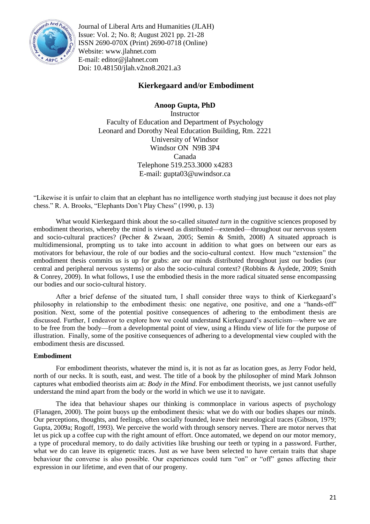

Journal of Liberal Arts and Humanities (JLAH) Issue: Vol. 2; No. 8; August 2021 pp. 21-28 ISSN 2690-070X (Print) 2690-0718 (Online) Website: www.jlahnet.com E-mail: editor@jlahnet.com Doi: 10.48150/jlah.v2no8.2021.a3

# **Kierkegaard and/or Embodiment**

**Anoop Gupta, PhD Instructor** Faculty of Education and Department of Psychology Leonard and Dorothy Neal Education Building, Rm. 2221 University of Windsor Windsor ON N9B 3P4 Canada Telephone 519.253.3000 x4283 E-mail: gupta03@uwindsor.ca

―Likewise it is unfair to claim that an elephant has no intelligence worth studying just because it does not play chess." R. A. Brooks, "Elephants Don't Play Chess" (1990, p. 13)

What would Kierkegaard think about the so-called *situated turn* in the cognitive sciences proposed by embodiment theorists, whereby the mind is viewed as distributed—extended—throughout our nervous system and socio-cultural practices? (Pecher & Zwaan, 2005; Semin & Smith, 2008) A situated approach is multidimensional, prompting us to take into account in addition to what goes on between our ears as motivators for behaviour, the role of our bodies and the socio-cultural context. How much "extension" the embodiment thesis commits us is up for grabs: are our minds distributed throughout just our bodies (our central and peripheral nervous systems) or also the socio-cultural context? (Robbins & Aydede, 2009; Smith & Conrey, 2009). In what follows, I use the embodied thesis in the more radical situated sense encompassing our bodies and our socio-cultural history.

After a brief defense of the situated turn, I shall consider three ways to think of Kierkegaard's philosophy in relationship to the embodiment thesis: one negative, one positive, and one a "hands-off" position. Next, some of the potential positive consequences of adhering to the embodiment thesis are discussed. Further, I endeavor to explore how we could understand Kierkegaard's asceticism—where we are to be free from the body—from a developmental point of view, using a Hindu view of life for the purpose of illustration. Finally, some of the positive consequences of adhering to a developmental view coupled with the embodiment thesis are discussed.

## **Embodiment**

For embodiment theorists, whatever the mind is, it is not as far as location goes, as Jerry Fodor held, north of our necks. It is south, east, and west. The title of a book by the philosopher of mind Mark Johnson captures what embodied theorists aim at: *Body in the Mind*. For embodiment theorists, we just cannot usefully understand the mind apart from the body or the world in which we use it to navigate.

The idea that behaviour shapes our thinking is commonplace in various aspects of psychology (Flanagen, 2000). The point buoys up the embodiment thesis: what we do with our bodies shapes our minds. Our perceptions, thoughts, and feelings, often socially founded, leave their neurological traces (Gibson, 1979; Gupta, 2009a; Rogoff, 1993). We perceive the world with through sensory nerves. There are motor nerves that let us pick up a coffee cup with the right amount of effort. Once automated, we depend on our motor memory, a type of procedural memory, to do daily activities like brushing our teeth or typing in a password. Further, what we do can leave its epigenetic traces. Just as we have been selected to have certain traits that shape behaviour the converse is also possible. Our experiences could turn "on" or "off" genes affecting their expression in our lifetime, and even that of our progeny.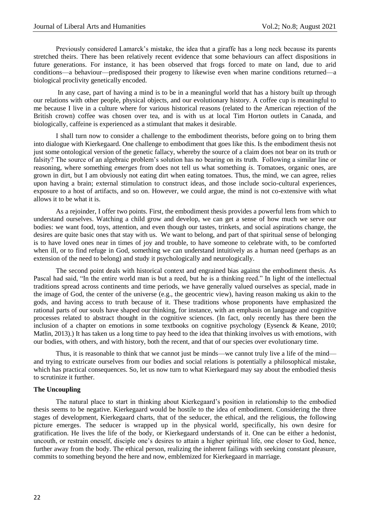Previously considered Lamarck's mistake, the idea that a giraffe has a long neck because its parents stretched theirs. There has been relatively recent evidence that some behaviours can affect dispositions in future generations. For instance, it has been observed that frogs forced to mate on land, due to arid conditions—a behaviour—predisposed their progeny to likewise even when marine conditions returned—a biological proclivity genetically encoded.

In any case, part of having a mind is to be in a meaningful world that has a history built up through our relations with other people, physical objects, and our evolutionary history. A coffee cup is meaningful to me because I live in a culture where for various historical reasons (related to the American rejection of the British crown) coffee was chosen over tea, and is with us at local Tim Horton outlets in Canada, and biologically, caffeine is experienced as a stimulant that makes it desirable.

I shall turn now to consider a challenge to the embodiment theorists, before going on to bring them into dialogue with Kierkegaard. One challenge to embodiment that goes like this. Is the embodiment thesis not just some ontological version of the genetic fallacy, whereby the source of a claim does not bear on its truth or falsity? The source of an algebraic problem's solution has no bearing on its truth. Following a similar line or reasoning, where something *emerges* from does not tell us what something *is*. Tomatoes, organic ones, are grown in dirt, but I am obviously not eating dirt when eating tomatoes. Thus, the mind, we can agree, relies upon having a brain; external stimulation to construct ideas, and those include socio-cultural experiences, exposure to a host of artifacts, and so on. However, we could argue, the mind is not co-extensive with what allows it to be what it is.

As a rejoinder, I offer two points. First, the embodiment thesis provides a powerful lens from which to understand ourselves. Watching a child grow and develop, we can get a sense of how much we serve our bodies: we want food, toys, attention, and even though our tastes, trinkets, and social aspirations change, the desires are quite basic ones that stay with us. We want to belong, and part of that spiritual sense of belonging is to have loved ones near in times of joy and trouble, to have someone to celebrate with, to be comforted when ill, or to find refuge in God, something we can understand intuitively as a human need (perhaps as an extension of the need to belong) and study it psychologically and neurologically.

The second point deals with historical context and engrained bias against the embodiment thesis. As Pascal had said, "In the entire world man is but a reed, but he is a thinking reed." In light of the intellectual traditions spread across continents and time periods, we have generally valued ourselves as special, made in the image of God, the center of the universe (e.g., the geocentric view), having reason making us akin to the gods, and having access to truth because of it. These traditions whose proponents have emphasized the rational parts of our souls have shaped our thinking, for instance, with an emphasis on language and cognitive processes related to abstract thought in the cognitive sciences. (In fact, only recently has there been the inclusion of a chapter on emotions in some textbooks on cognitive psychology (Eysenck & Keane, 2010; Matlin, 2013).) It has taken us a long time to pay heed to the idea that thinking involves us with emotions, with our bodies, with others, and with history, both the recent, and that of our species over evolutionary time.

Thus, it is reasonable to think that we cannot just be minds—we cannot truly live a life of the mind and trying to extricate ourselves from our bodies and social relations is potentially a philosophical mistake, which has practical consequences. So, let us now turn to what Kierkegaard may say about the embodied thesis to scrutinize it further.

### **The Uncoupling**

The natural place to start in thinking about Kierkegaard's position in relationship to the embodied thesis seems to be negative. Kierkegaard would be hostile to the idea of embodiment. Considering the three stages of development, Kierkegaard charts, that of the seducer, the ethical, and the religious, the following picture emerges. The seducer is wrapped up in the physical world, specifically, his own desire for gratification. He lives the life of the body, or Kierkegaard understands of it. One can be either a hedonist, uncouth, or restrain oneself, disciple one's desires to attain a higher spiritual life, one closer to God, hence, further away from the body. The ethical person, realizing the inherent failings with seeking constant pleasure, commits to something beyond the here and now, emblemized for Kierkegaard in marriage.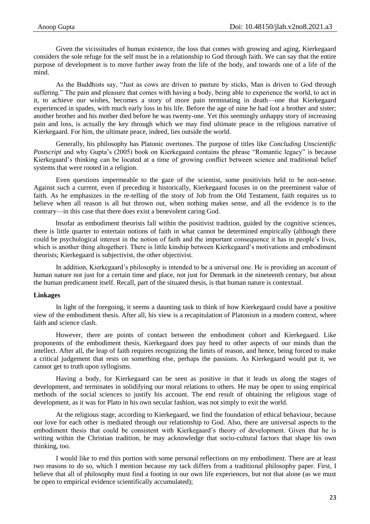Given the vicissitudes of human existence, the loss that comes with growing and aging, Kierkegaard considers the sole refuge for the self must be in a relationship to God through faith. We can say that the entire purpose of development is to move further away from the life of the body, and towards one of a life of the mind.

As the Buddhists say, "Just as cows are driven to pasture by sticks, Man is driven to God through suffering." The pain and pleasure that comes with having a body, being able to experience the world, to act in it, to achieve our wishes, becomes a story of more pain terminating in death—one that Kierkegaard experienced in spades, with much early loss in his life. Before the age of nine he had lost a brother and sister; another brother and his mother died before he was twenty-one. Yet this seemingly unhappy story of increasing pain and loss, is actually the key through which we may find ultimate peace in the religious narrative of Kierkegaard. For him, the ultimate peace, indeed, lies outside the world.

Generally, his philosophy has Platonic overtones. The purpose of titles like *Concluding Unscientific Postscript* and why Gupta's (2005) book on Kierkegaard contains the phrase "Romantic legacy" is because Kierkegaard's thinking can be located at a time of growing conflict between science and traditional belief systems that were rooted in a religion.

Even questions impermeable to the gaze of the scientist, some positivists held to be non-sense. Against such a current, even if preceding it historically, Kierkegaard focuses in on the preeminent value of faith. As he emphasizes in the re-telling of the story of Job from the Old Testament, faith requires us to believe when all reason is all but thrown out, when nothing makes sense, and all the evidence is to the contrary—in this case that there does exist a benevolent caring God.

Insofar as embodiment theorists fall within the positivist tradition, guided by the cognitive sciences, there is little quarter to entertain notions of faith in what cannot be determined empirically (although there could be psychological interest in the notion of faith and the important consequence it has in people's lives, which is another thing altogether). There is little kinship between Kierkegaard's motivations and embodiment theorists; Kierkegaard is subjectivist, the other objectivist.

In addition, Kierkegaard's philosophy is intended to be a universal one. He is providing an account of human nature not just for a certain time and place, not just for Denmark in the nineteenth century, but about the human predicament itself. Recall, part of the situated thesis, is that human nature is contextual.

## **Linkages**

In light of the foregoing, it seems a daunting task to think of how Kierkegaard could have a positive view of the embodiment thesis. After all, his view is a recapitulation of Platonism in a modern context, where faith and science clash.

However, there are points of contact between the embodiment cohort and Kierkegaard. Like proponents of the embodiment thesis, Kierkegaard does pay heed to other aspects of our minds than the intellect. After all, the leap of faith requires recognizing the limits of reason, and hence, being forced to make a critical judgement that rests on something else, perhaps the passions. As Kierkegaard would put it, we cannot get to truth upon syllogisms.

Having a body, for Kierkegaard can be seen as positive in that it leads us along the stages of development, and terminates in solidifying our moral relations to others. He may be open to using empirical methods of the social sciences to justify his account. The end result of obtaining the religious stage of development, as it was for Plato in his own secular fashion, was not simply to exit the world.

At the religious stage, according to Kierkegaard, we find the foundation of ethical behaviour, because our love for each other is mediated through our relationship to God. Also, there are universal aspects to the embodiment thesis that could be consistent with Kierkegaard's theory of development. Given that he is writing within the Christian tradition, he may acknowledge that socio-cultural factors that shape his own thinking, too.

I would like to end this portion with some personal reflections on my embodiment. There are at least two reasons to do so, which I mention because my tack differs from a traditional philosophy paper. First, I believe that all of philosophy must find a footing in our own life experiences, but not that alone (as we must be open to empirical evidence scientifically accumulated);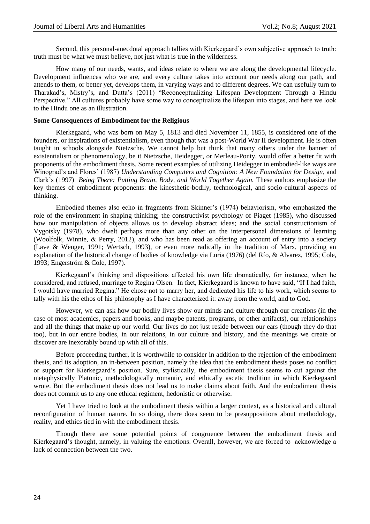Second, this personal-anecdotal approach tallies with Kierkegaard's own subjective approach to truth: truth must be what we must believe, not just what is true in the wilderness.

How many of our needs, wants, and ideas relate to where we are along the developmental lifecycle. Development influences who we are, and every culture takes into account our needs along our path, and attends to them, or better yet, develops them, in varying ways and to different degrees. We can usefully turn to Tharakad's, Mistry's, and Dutta's (2011) "Reconceptualizing Lifespan Development Through a Hindu Perspective." All cultures probably have some way to conceptualize the lifespan into stages, and here we look to the Hindu one as an illustration.

## **Some Consequences of Embodiment for the Religious**

Kierkegaard, who was born on May 5, 1813 and died November 11, 1855, is considered one of the founders, or inspirations of existentialism, even though that was a post-World War II development. He is often taught in schools alongside Nietzsche. We cannot help but think that many others under the banner of existentialism or phenomenology, be it Nietzsche, Heidegger, or Merleau-Ponty, would offer a better fit with proponents of the embodiment thesis. Some recent examples of utilizing Heidegger in embodied-like ways are Winograd's and Flores' (1987) *Understanding Computers and Cognition: A New Foundation for Design*, and Clark's (1997) *Being There: Putting Brain*, *Body*, *and World Together Again.* These authors emphasize the key themes of embodiment proponents: the kinesthetic-bodily, technological, and socio-cultural aspects of thinking.

Embodied themes also echo in fragments from Skinner's (1974) behaviorism, who emphasized the role of the environment in shaping thinking; the constructivist psychology of Piaget (1985), who discussed how our manipulation of objects allows us to develop abstract ideas; and the social constructionism of Vygotsky (1978), who dwelt perhaps more than any other on the interpersonal dimensions of learning (Woolfolk, Winnie, & Perry, 2012), and who has been read as offering an account of entry into a society (Lave & Wenger, 1991; Wertsch, 1993), or even more radically in the tradition of Marx, providing an explanation of the historical change of bodies of knowledge via Luria (1976) (del Río, & Alvarez, 1995; Cole, 1993; Engerström & Cole, 1997).

Kierkegaard's thinking and dispositions affected his own life dramatically, for instance, when he considered, and refused, marriage to Regina Olsen. In fact, Kierkegaard is known to have said, "If I had faith, I would have married Regina." He chose not to marry her, and dedicated his life to his work, which seems to tally with his the ethos of his philosophy as I have characterized it: away from the world, and to God.

However, we can ask how our bodily lives show our minds and culture through our creations (in the case of most academics, papers and books, and maybe patents, programs, or other artifacts), our relationships and all the things that make up our world. Our lives do not just reside between our ears (though they do that too), but in our entire bodies, in our relations, in our culture and history, and the meanings we create or discover are inexorably bound up with all of this.

Before proceeding further, it is worthwhile to consider in addition to the rejection of the embodiment thesis, and its adoption, an in-between position, namely the idea that the embodiment thesis poses no conflict or support for Kierkegaard's position. Sure, stylistically, the embodiment thesis seems to cut against the metaphysically Platonic, methodologically romantic, and ethically ascetic tradition in which Kierkegaard wrote. But the embodiment thesis does not lead us to make claims about faith. And the embodiment thesis does not commit us to any one ethical regiment, hedonistic or otherwise.

Yet I have tried to look at the embodiment thesis within a larger context, as a historical and cultural reconfiguration of human nature. In so doing, there does seem to be presuppositions about methodology, reality, and ethics tied in with the embodiment thesis.

Though there are some potential points of congruence between the embodiment thesis and Kierkegaard's thought, namely, in valuing the emotions. Overall, however, we are forced to acknowledge a lack of connection between the two.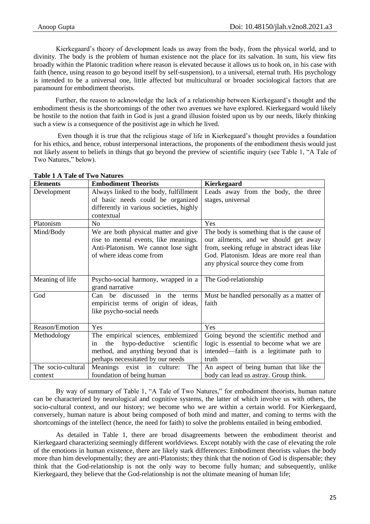Kierkegaard's theory of development leads us away from the body, from the physical world, and to divinity. The body is the problem of human existence not the place for its salvation. In sum, his view fits broadly within the Platonic tradition where reason is elevated because it allows us to hook on, in his case with faith (hence, using reason to go beyond itself by self-suspension), to a universal, eternal truth. His psychology is intended to be a universal one, little affected but multicultural or broader sociological factors that are paramount for embodiment theorists.

Further, the reason to acknowledge the lack of a relationship between Kierkegaard's thought and the embodiment thesis is the shortcomings of the other two avenues we have explored. Kierkegaard would likely be hostile to the notion that faith in God is just a grand illusion foisted upon us by our needs, likely thinking such a view is a consequence of the positivist age in which he lived.

Even though it is true that the religious stage of life in Kierkegaard's thought provides a foundation for his ethics, and hence, robust interpersonal interactions, the proponents of the embodiment thesis would just not likely assent to beliefs in things that go beyond the preview of scientific inquiry (see Table 1, "A Tale of Two Natures," below).

| <b>Elements</b>    | <b>Embodiment Theorists</b>               | Kierkegaard                                 |
|--------------------|-------------------------------------------|---------------------------------------------|
| Development        | Always linked to the body, fulfillment    | Leads away from the body, the three         |
|                    | of basic needs could be organized         | stages, universal                           |
|                    | differently in various societies, highly  |                                             |
|                    | contextual                                |                                             |
| Platonism          | N <sub>0</sub>                            | Yes                                         |
| Mind/Body          | We are both physical matter and give      | The body is something that is the cause of  |
|                    | rise to mental events, like meanings.     | our ailments, and we should get away        |
|                    | Anti-Platonism. We cannot lose sight      | from, seeking refuge in abstract ideas like |
|                    | of where ideas come from                  | God. Platonism. Ideas are more real than    |
|                    |                                           | any physical source they come from          |
|                    |                                           |                                             |
| Meaning of life    | Psycho-social harmony, wrapped in a       | The God-relationship                        |
|                    | grand narrative                           |                                             |
| God                | $Can$ be<br>discussed in<br>the<br>terms  | Must be handled personally as a matter of   |
|                    | empiricist terms of origin of ideas,      | faith                                       |
|                    | like psycho-social needs                  |                                             |
|                    |                                           |                                             |
| Reason/Emotion     | Yes                                       | Yes                                         |
| Methodology        | The empirical sciences, emblemized        | Going beyond the scientific method and      |
|                    | hypo-deductive<br>the<br>scientific<br>in | logic is essential to become what we are    |
|                    | method, and anything beyond that is       | intended—faith is a legitimate path to      |
|                    | perhaps necessitated by our needs         | truth                                       |
| The socio-cultural | The<br>Meanings exist in culture:         | An aspect of being human that like the      |
| context            | foundation of being human                 | body can lead us astray. Group think.       |

| <b>Table 1 A Tale of Two Natures</b> |  |
|--------------------------------------|--|
|--------------------------------------|--|

By way of summary of Table 1, "A Tale of Two Natures," for embodiment theorists, human nature can be characterized by neurological and cognitive systems, the latter of which involve us with others, the socio-cultural context, and our history; we become who we are within a certain world. For Kierkegaard, conversely, human nature is about being composed of both mind and matter, and coming to terms with the shortcomings of the intellect (hence, the need for faith) to solve the problems entailed in being embodied.

As detailed in Table 1, there are broad disagreements between the embodiment theorist and Kierkegaard characterizing seemingly different worldviews. Except notably with the case of elevating the role of the emotions in human existence, there are likely stark differences: Embodiment theorists values the body more than him developmentally; they are anti-Platonists; they think that the notion of God is dispensable; they think that the God-relationship is not the only way to become fully human; and subsequently, unlike Kierkegaard, they believe that the God-relationship is not the ultimate meaning of human life;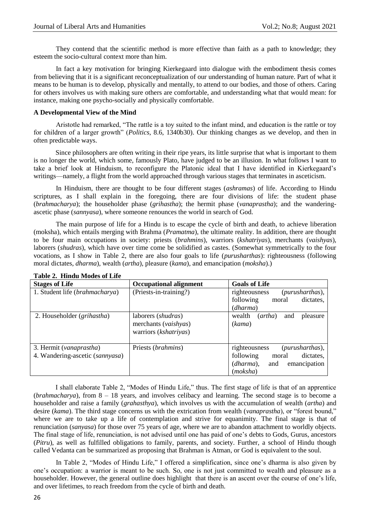They contend that the scientific method is more effective than faith as a path to knowledge; they esteem the socio-cultural context more than him.

In fact a key motivation for bringing Kierkegaard into dialogue with the embodiment thesis comes from believing that it is a significant reconceptualization of our understanding of human nature. Part of what it means to be human is to develop, physically and mentally, to attend to our bodies, and those of others. Caring for others involves us with making sure others are comfortable, and understanding what that would mean: for instance, making one psycho-socially and physically comfortable.

## **A Developmental View of the Mind**

Aristotle had remarked, "The rattle is a toy suited to the infant mind, and education is the rattle or toy for children of a larger growth" (*Politics*, 8.6, 1340b30). Our thinking changes as we develop, and then in often predictable ways.

Since philosophers are often writing in their ripe years, its little surprise that what is important to them is no longer the world, which some, famously Plato, have judged to be an illusion. In what follows I want to take a brief look at Hinduism, to reconfigure the Platonic ideal that I have identified in Kierkegaard's writings—namely, a flight from the world approached through various stages that terminates in asceticism.

In Hinduism, there are thought to be four different stages (*ashramas*) of life. According to Hindu scriptures, as I shall explain in the foregoing, there are four divisions of life: the student phase (*brahmacharya*); the householder phase (*grihastha*); the hermit phase (*vanaprastha*); and the wanderingascetic phase (*sannyasa*), where someone renounces the world in search of God.

The main purpose of life for a Hindu is to escape the cycle of birth and death, to achieve liberation (moksha), which entails merging with Brahma (*Pramatma*), the ultimate reality. In addition, there are thought to be four main occupations in society: priests (*brahmins*), warriors (*kshatriyas*), merchants (*vaishyas*), laborers (*shudras*), which have over time come be solidified as castes. (Somewhat symmetrically to the four vocations, as I show in Table 2, there are also four goals to life (*purusharthas*): righteousness (following moral dictates, *dharma*), wealth (*artha*), pleasure (*kama*), and emancipation (*moksha*).)

| <b>Stages of Life</b>               | <b>Occupational alignment</b> | <b>Goals of Life</b>                          |
|-------------------------------------|-------------------------------|-----------------------------------------------|
| 1. Student life (brahmacharya)      | (Priests-in-training?)        | (purusharthas),<br>righteousness              |
|                                     |                               | following<br>dictates,<br>moral               |
|                                     |                               | (dharma)                                      |
| 2. Householder ( <i>grihastha</i> ) | laborers (shudras)            | wealth<br>pleasure<br>$(\text{artha})$<br>and |
|                                     | merchants (vaishyas)          | (kama)                                        |
|                                     | warriors (kshatriyas)         |                                               |
|                                     |                               |                                               |
| 3. Hermit (vanaprastha)             | Priests ( <i>brahmins</i> )   | righteousness<br>(purusharthas),              |
| 4. Wandering-ascetic (sannyasa)     |                               | following<br>dictates,<br>moral               |
|                                     |                               | emancipation<br>$(dharma)$ ,<br>and           |
|                                     |                               | (moksha)                                      |

# **Table 2. Hindu Modes of Life**

I shall elaborate Table 2, "Modes of Hindu Life," thus. The first stage of life is that of an apprentice (*brahmacharya*), from 8 – 18 years, and involves celibacy and learning. The second stage is to become a householder and raise a family (*grahasthya*), which involves us with the accumulation of wealth (*artha*) and desire (*kama*). The third stage concerns us with the extrication from wealth (*vanaprastha*), or "forest bound," where we are to take up a life of contemplation and strive for equanimity. The final stage is that of renunciation (*sanyasa*) for those over 75 years of age, where we are to abandon attachment to worldly objects. The final stage of life, renunciation, is not advised until one has paid of one's debts to Gods, Gurus, ancestors (*Pitru*), as well as fulfilled obligations to family, parents, and society. Further, a school of Hindu though called Vedanta can be summarized as proposing that Brahman is Atman, or God is equivalent to the soul.

In Table 2, "Modes of Hindu Life," I offered a simplification, since one's dharma is also given by one's occupation: a warrior is meant to be such. So, one is not just committed to wealth and pleasure as a householder. However, the general outline does highlight that there is an ascent over the course of one's life, and over lifetimes, to reach freedom from the cycle of birth and death.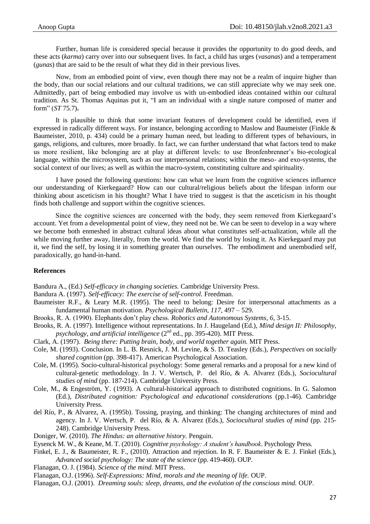Further, human life is considered special because it provides the opportunity to do good deeds, and these acts (*karma*) carry over into our subsequent lives. In fact, a child has urges (*vasanas*) and a temperament (*gunas*) that are said to be the result of what they did in their previous lives.

Now, from an embodied point of view, even though there may not be a realm of inquire higher than the body, than our social relations and our cultural traditions, we can still appreciate why we may seek one. Admittedly, part of being embodied may involve us with un-embodied ideas contained within our cultural tradition. As St. Thomas Aquinas put it, "I am an individual with a single nature composed of matter and form‖ (*ST* 75.7)**.** 

It is plausible to think that some invariant features of development could be identified, even if expressed in radically different ways. For instance, belonging according to Maslow and Baumeister (Finkle & Baumeister, 2010, p. 434) could be a primary human need, but leading to different types of behaviours, in gangs, religions, and cultures, more broadly. In fact, we can further understand that what factors tend to make us more resilient, like belonging are at play at different levels: to use Bronfenbrenner's bio-ecological language, within the microsystem, such as our interpersonal relations; within the meso- and exo-systems, the social context of our lives; as well as within the macro-system, constituting culture and spirituality.

I have posed the following questions: how can what we learn from the cognitive sciences influence our understanding of Kierkegaard? How can our cultural/religious beliefs about the lifespan inform our thinking about asceticism in his thought? What I have tried to suggest is that the asceticism in his thought finds both challenge and support within the cognitive sciences.

Since the cognitive sciences are concerned with the body, they seem removed from Kierkegaard's account. Yet from a developmental point of view, they need not be. We can be seen to develop in a way where we become both enmeshed in abstract cultural ideas about what constitutes self-actualization, while all the while moving further away, literally, from the world. We find the world by losing it. As Kierkegaard may put it, we find the self, by losing it in something greater than ourselves. The embodiment and unembodied self, paradoxically, go hand-in-hand.

### **References**

Bandura A., (Ed.) *Self-efficacy in changing societies.* Cambridge University Press.

Bandura A. (1997). *Self-efficacy: The exercise of self-control.* Freedman.

- Baumeister R.F., & Leary M.R. (1995). The need to belong: Desire for interpersonal attachments as a fundamental human motivation. *Psychological Bulletin, 117,* 497 – 529.
- Brooks, R. A. (1990). Elephants don't play chess. *Robotics and Autonomous Systems, 6*, 3-15.
- Brooks, R. A. (1997). Intelligence without representations. In J. Haugeland (Ed.), *Mind design II: Philosophy, psychology, and artificial intelligence* (2<sup>nd</sup> ed., pp. 395-420). MIT Press.
- Clark, A. (1997). *Being there: Putting brain*, *body*, *and world together again.* MIT Press.
- Cole, M. (1993). Conclusion. In L. B. Resnick, J. M. Levine, & S. D. Teasley (Eds.), *Perspectives on socially shared cognition* (pp. 398-417). American Psychological Association.
- Cole, M. (1995). Socio-cultural-historical psychology: Some general remarks and a proposal for a new kind of cultural-genetic methodology. In J. V. Wertsch, P. del Río, & A. Alvarez (Eds.), *Sociocultural studies of mind* (pp. 187-214). Cambridge University Press.
- Cole, M., & Engeström, Y. (1993). A cultural-historical approach to distributed cognitions. In G. Salomon (Ed.), *Distributed cognition: Psychological and educational considerations* (pp.1-46)*.* Cambridge University Press.
- del Río, P., & Alvarez, A. (1995b). Tossing, praying, and thinking: The changing architectures of mind and agency. In J. V. Wertsch, P. del Río, & A. Alvarez (Eds.), *Sociocultural studies of mind* (pp. 215- 248). Cambridge University Press.
- Doniger, W. (2010). *The Hindus: an alternative history.* Penguin.
- Eysenck M. W., & Keane, M. T. (2010). *Cognitive psychology: A student's handbook*. Psychology Press.
- Finkel, E. J., & Baumeister, R. F., (2010). Attraction and rejection. In R. F. Baumeister & E. J. Finkel (Eds.), *Advanced social psychology: The state of the science* (pp. 419-460). OUP.
- Flanagan, O. J. (1984). *Science of the mind.* MIT Press.
- Flanagan, O.J. (1996). *Self-Expressions: Mind, morals and the meaning of life.* OUP.
- Flanagan, O.J. (2001). *Dreaming souls: sleep, dreams, and the evolution of the conscious mind.* OUP.